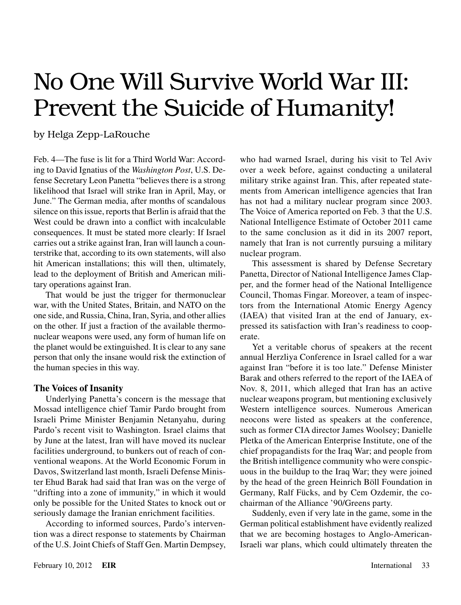# No One Will Survive World War III: Prevent the Suicide of Humanity!

### by Helga Zepp-LaRouche

Feb. 4—The fuse is lit for a Third World War: According to David Ignatius of the *Washington Post*, U.S. Defense Secretary Leon Panetta "believes there is a strong likelihood that Israel will strike Iran in April, May, or June." The German media, after months of scandalous silence on this issue, reports that Berlin is afraid that the West could be drawn into a conflict with incalculable consequences. It must be stated more clearly: If Israel carries out a strike against Iran, Iran will launch a counterstrike that, according to its own statements, will also hit American installations; this will then, ultimately, lead to the deployment of British and American military operations against Iran.

That would be just the trigger for thermonuclear war, with the United States, Britain, and NATO on the one side, and Russia, China, Iran, Syria, and other allies on the other. If just a fraction of the available thermonuclear weapons were used, any form of human life on the planet would be extinguished. It is clear to any sane person that only the insane would risk the extinction of the human species in this way.

#### **The Voices of Insanity**

Underlying Panetta's concern is the message that Mossad intelligence chief Tamir Pardo brought from Israeli Prime Minister Benjamin Netanyahu, during Pardo's recent visit to Washington. Israel claims that by June at the latest, Iran will have moved its nuclear facilities underground, to bunkers out of reach of conventional weapons. At the World Economic Forum in Davos, Switzerland last month, Israeli Defense Minister Ehud Barak had said that Iran was on the verge of "drifting into a zone of immunity," in which it would only be possible for the United States to knock out or seriously damage the Iranian enrichment facilities.

According to informed sources, Pardo's intervention was a direct response to statements by Chairman of the U.S. Joint Chiefs of Staff Gen. Martin Dempsey, who had warned Israel, during his visit to Tel Aviv over a week before, against conducting a unilateral military strike against Iran. This, after repeated statements from American intelligence agencies that Iran has not had a military nuclear program since 2003. The Voice of America reported on Feb. 3 that the U.S. National Intelligence Estimate of October 2011 came to the same conclusion as it did in its 2007 report, namely that Iran is not currently pursuing a military nuclear program.

This assessment is shared by Defense Secretary Panetta, Director of National Intelligence James Clapper, and the former head of the National Intelligence Council, Thomas Fingar. Moreover, a team of inspectors from the International Atomic Energy Agency (IAEA) that visited Iran at the end of January, expressed its satisfaction with Iran's readiness to cooperate.

Yet a veritable chorus of speakers at the recent annual Herzliya Conference in Israel called for a war against Iran "before it is too late." Defense Minister Barak and others referred to the report of the IAEA of Nov. 8, 2011, which alleged that Iran has an active nuclear weapons program, but mentioning exclusively Western intelligence sources. Numerous American neocons were listed as speakers at the conference, such as former CIA director James Woolsey; Danielle Pletka of the American Enterprise Institute, one of the chief propagandists for the Iraq War; and people from the British intelligence community who were conspicuous in the buildup to the Iraq War; they were joined by the head of the green Heinrich Böll Foundation in Germany, Ralf Fücks, and by Cem Ozdemir, the cochairman of the Alliance '90/Greens party.

Suddenly, even if very late in the game, some in the German political establishment have evidently realized that we are becoming hostages to Anglo-American-Israeli war plans, which could ultimately threaten the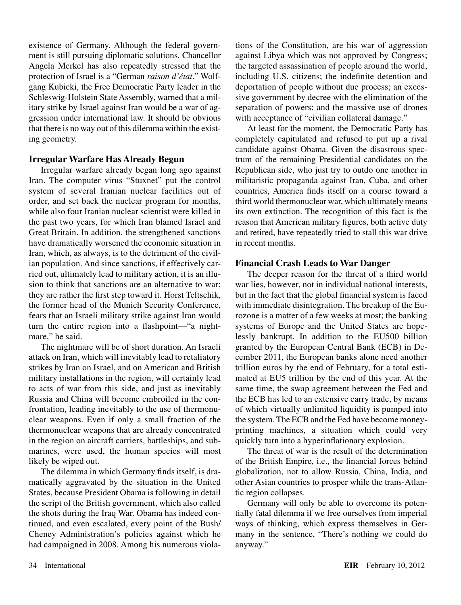existence of Germany. Although the federal government is still pursuing diplomatic solutions, Chancellor Angela Merkel has also repeatedly stressed that the protection of Israel is a "German *raison d'état*." Wolfgang Kubicki, the Free Democratic Party leader in the Schleswig-Holstein State Assembly, warned that a military strike by Israel against Iran would be a war of aggression under international law. It should be obvious that there is no way out of this dilemma within the existing geometry.

#### **Irregular Warfare Has Already Begun**

Irregular warfare already began long ago against Iran. The computer virus "Stuxnet" put the control system of several Iranian nuclear facilities out of order, and set back the nuclear program for months, while also four Iranian nuclear scientist were killed in the past two years, for which Iran blamed Israel and Great Britain. In addition, the strengthened sanctions have dramatically worsened the economic situation in Iran, which, as always, is to the detriment of the civilian population. And since sanctions, if effectively carried out, ultimately lead to military action, it is an illusion to think that sanctions are an alternative to war; they are rather the first step toward it. Horst Teltschik, the former head of the Munich Security Conference, fears that an Israeli military strike against Iran would turn the entire region into a flashpoint—"a nightmare," he said.

The nightmare will be of short duration. An Israeli attack on Iran, which will inevitably lead to retaliatory strikes by Iran on Israel, and on American and British military installations in the region, will certainly lead to acts of war from this side, and just as inevitably Russia and China will become embroiled in the confrontation, leading inevitably to the use of thermonuclear weapons. Even if only a small fraction of the thermonuclear weapons that are already concentrated in the region on aircraft carriers, battleships, and submarines, were used, the human species will most likely be wiped out.

The dilemma in which Germany finds itself, is dramatically aggravated by the situation in the United States, because President Obama is following in detail the script of the British government, which also called the shots during the Iraq War. Obama has indeed continued, and even escalated, every point of the Bush/ Cheney Administration's policies against which he had campaigned in 2008. Among his numerous violations of the Constitution, are his war of aggression against Libya which was not approved by Congress; the targeted assassination of people around the world, including U.S. citizens; the indefinite detention and deportation of people without due process; an excessive government by decree with the elimination of the separation of powers; and the massive use of drones with acceptance of "civilian collateral damage."

At least for the moment, the Democratic Party has completely capitulated and refused to put up a rival candidate against Obama. Given the disastrous spectrum of the remaining Presidential candidates on the Republican side, who just try to outdo one another in militaristic propaganda against Iran, Cuba, and other countries, America finds itself on a course toward a third world thermonuclear war, which ultimately means its own extinction. The recognition of this fact is the reason that American military figures, both active duty and retired, have repeatedly tried to stall this war drive in recent months.

#### **Financial Crash Leads to War Danger**

The deeper reason for the threat of a third world war lies, however, not in individual national interests, but in the fact that the global financial system is faced with immediate disintegration. The breakup of the Eurozone is a matter of a few weeks at most; the banking systems of Europe and the United States are hopelessly bankrupt. In addition to the EU500 billion granted by the European Central Bank (ECB) in December 2011, the European banks alone need another trillion euros by the end of February, for a total estimated at EU5 trillion by the end of this year. At the same time, the swap agreement between the Fed and the ECB has led to an extensive carry trade, by means of which virtually unlimited liquidity is pumped into the system. The ECB and the Fed have become moneyprinting machines, a situation which could very quickly turn into a hyperinflationary explosion.

The threat of war is the result of the determination of the British Empire, i.e., the financial forces behind globalization, not to allow Russia, China, India, and other Asian countries to prosper while the trans-Atlantic region collapses.

Germany will only be able to overcome its potentially fatal dilemma if we free ourselves from imperial ways of thinking, which express themselves in Germany in the sentence, "There's nothing we could do anyway."